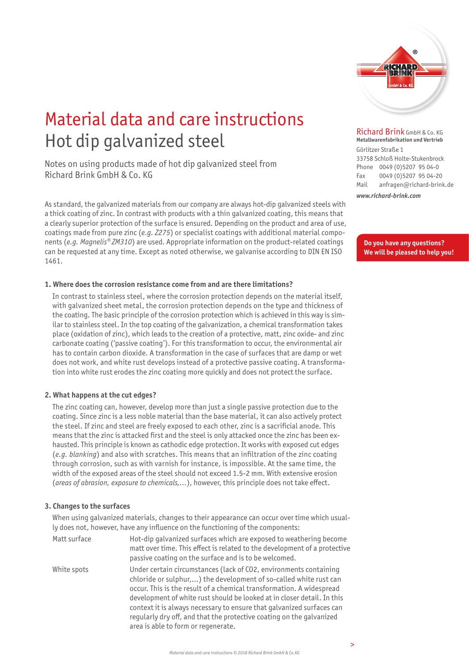

## Material data and care instructions Hot dip galvanized steel

Notes on using products made of hot dip galvanized steel from Richard Brink GmbH & Co. KG

As standard, the galvanized materials from our company are always hot-dip galvanized steels with a thick coating of zinc. In contrast with products with a thin galvanized coating, this means that a clearly superior protection of the surface is ensured. Depending on the product and area of use, coatings made from pure zinc (*e.g. Z275*) or specialist coatings with additional material components (*e.g. Magnelis® ZM310*) are used. Appropriate information on the product-related coatings can be requested at any time. Except as noted otherwise, we galvanise according to DIN EN ISO 1461.

#### **1. Where does the corrosion resistance come from and are there limitations?**

In contrast to stainless steel, where the corrosion protection depends on the material itself, with galvanized sheet metal, the corrosion protection depends on the type and thickness of the coating. The basic principle of the corrosion protection which is achieved in this way is similar to stainless steel. In the top coating of the galvanization, a chemical transformation takes place (oxidation of zinc), which leads to the creation of a protective, matt, zinc oxide- and zinc carbonate coating ('passive coating'). For this transformation to occur, the environmental air has to contain carbon dioxide. A transformation in the case of surfaces that are damp or wet does not work, and white rust develops instead of a protective passive coating. A transformation into white rust erodes the zinc coating more quickly and does not protect the surface.

#### **2. What happens at the cut edges?**

The zinc coating can, however, develop more than just a single passive protection due to the coating. Since zinc is a less noble material than the base material, it can also actively protect the steel. If zinc and steel are freely exposed to each other, zinc is a sacrificial anode. This means that the zinc is attacked first and the steel is only attacked once the zinc has been exhausted. This principle is known as cathodic edge protection. It works with exposed cut edges (*e.g. blanking*) and also with scratches. This means that an infiltration of the zinc coating through corrosion, such as with varnish for instance, is impossible. At the same time, the width of the exposed areas of the steel should not exceed 1.5-2 mm. With extensive erosion (*areas of abrasion, exposure to chemicals,...*), however, this principle does not take effect.

#### **3. Changes to the surfaces**

 When using galvanized materials, changes to their appearance can occur over time which usually does not, however, have any influence on the functioning of the components:

| Matt surface | Hot-dip galvanized surfaces which are exposed to weathering become<br>matt over time. This effect is related to the development of a protective<br>passive coating on the surface and is to be welcomed.                                                                                                                                                                                                                                                                          |
|--------------|-----------------------------------------------------------------------------------------------------------------------------------------------------------------------------------------------------------------------------------------------------------------------------------------------------------------------------------------------------------------------------------------------------------------------------------------------------------------------------------|
| White spots  | Under certain circumstances (lack of CO2, environments containing<br>chloride or sulphur,) the development of so-called white rust can<br>occur. This is the result of a chemical transformation. A widespread<br>development of white rust should be looked at in closer detail. In this<br>context it is always necessary to ensure that galvanized surfaces can<br>regularly dry off, and that the protective coating on the galvanized<br>area is able to form or regenerate. |

Richard Brink GmbH & Co. KG **Metallwarenfabrikation und Vertrieb** 

Görlitzer Straße 1 33758 Schloß Holte-Stukenbrock Phone 0049 (0)5207 95 04-0 Fax 0049 (0)5207 95 04-20 Mail anfragen@richard-brink.de

*www.richard-brink.com*

**Do you have any questions? We will be pleased to help you!**